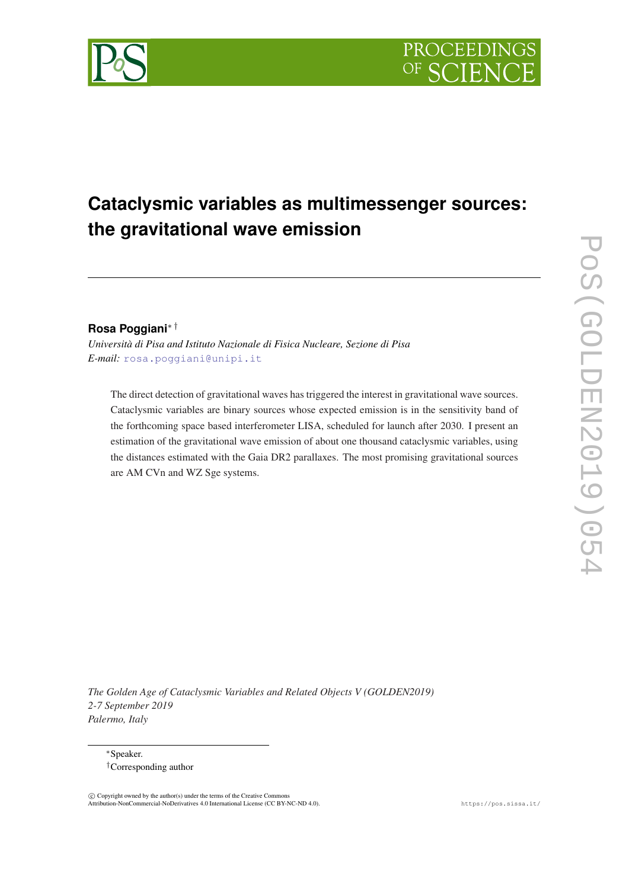# **Cataclysmic variables as multimessenger sources: the gravitational wave emission**

# **Rosa Poggiani**∗ †

*Università di Pisa and Istituto Nazionale di Fisica Nucleare, Sezione di Pisa E-mail:* [rosa.poggiani@unipi.it](mailto:rosa.poggiani@unipi.it)

The direct detection of gravitational waves has triggered the interest in gravitational wave sources. Cataclysmic variables are binary sources whose expected emission is in the sensitivity band of the forthcoming space based interferometer LISA, scheduled for launch after 2030. I present an estimation of the gravitational wave emission of about one thousand cataclysmic variables, using the distances estimated with the Gaia DR2 parallaxes. The most promising gravitational sources are AM CVn and WZ Sge systems.

*The Golden Age of Cataclysmic Variables and Related Objects V (GOLDEN2019) 2-7 September 2019 Palermo, Italy*



<sup>∗</sup>Speaker. †Corresponding author

 $\overline{c}$  Copyright owned by the author(s) under the terms of the Creative Common Attribution-NonCommercial-NoDerivatives 4.0 International License (CC BY-NC-ND 4.0). https://pos.sissa.it/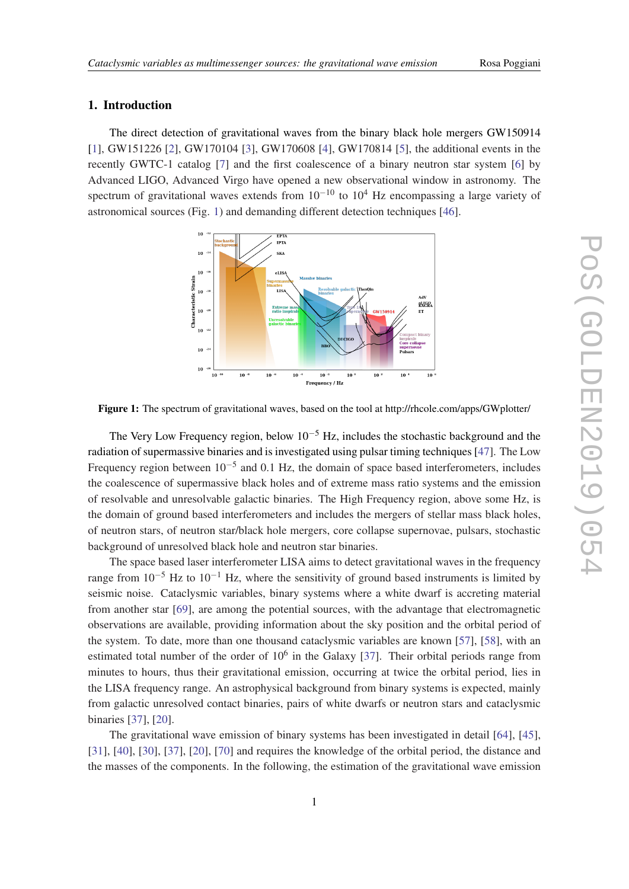## 1. Introduction

The direct detection of gravitational waves from the binary black hole mergers GW150914 [[1](#page-6-0)], GW151[2](#page-6-0)26 [2], GW170104 [\[3\]](#page-6-0), GW170608 [\[4\]](#page-6-0), GW170814 [\[5](#page-6-0)], the additional events in the recently GWTC-1 catalog [[7](#page-6-0)] and the first coalescence of a binary neutron star system [[6](#page-6-0)] by Advanced LIGO, Advanced Virgo have opened a new observational window in astronomy. The spectrum of gravitational waves extends from  $10^{-10}$  to  $10^4$  Hz encompassing a large variety of astronomical sources (Fig. 1) and demanding different detection techniques [\[46](#page-7-0)].



Figure 1: The spectrum of gravitational waves, based on the tool at http://rhcole.com/apps/GWplotter/

The Very Low Frequency region, below  $10^{-5}$  Hz, includes the stochastic background and the radiation of supermassive binaries and is investigated using pulsar timing techniques [[47](#page-7-0)]. The Low Frequency region between  $10^{-5}$  and 0.1 Hz, the domain of space based interferometers, includes the coalescence of supermassive black holes and of extreme mass ratio systems and the emission of resolvable and unresolvable galactic binaries. The High Frequency region, above some Hz, is the domain of ground based interferometers and includes the mergers of stellar mass black holes, of neutron stars, of neutron star/black hole mergers, core collapse supernovae, pulsars, stochastic background of unresolved black hole and neutron star binaries.

The space based laser interferometer LISA aims to detect gravitational waves in the frequency range from  $10^{-5}$  Hz to  $10^{-1}$  Hz, where the sensitivity of ground based instruments is limited by seismic noise. Cataclysmic variables, binary systems where a white dwarf is accreting material from another star [\[69\]](#page-8-0), are among the potential sources, with the advantage that electromagnetic observations are available, providing information about the sky position and the orbital period of the system. To date, more than one thousand cataclysmic variables are known [\[57](#page-8-0)], [[58\]](#page-8-0), with an estimated total number of the order of  $10<sup>6</sup>$  in the Galaxy [[37](#page-7-0)]. Their orbital periods range from minutes to hours, thus their gravitational emission, occurring at twice the orbital period, lies in the LISA frequency range. An astrophysical background from binary systems is expected, mainly from galactic unresolved contact binaries, pairs of white dwarfs or neutron stars and cataclysmic binaries [\[37](#page-7-0)], [[20\]](#page-7-0).

The gravitational wave emission of binary systems has been investigated in detail [\[64](#page-8-0)], [[45\]](#page-7-0), [[31\]](#page-7-0), [[40\]](#page-7-0), [[30\]](#page-7-0), [[37\]](#page-7-0), [[20\]](#page-7-0), [[70\]](#page-8-0) and requires the knowledge of the orbital period, the distance and the masses of the components. In the following, the estimation of the gravitational wave emission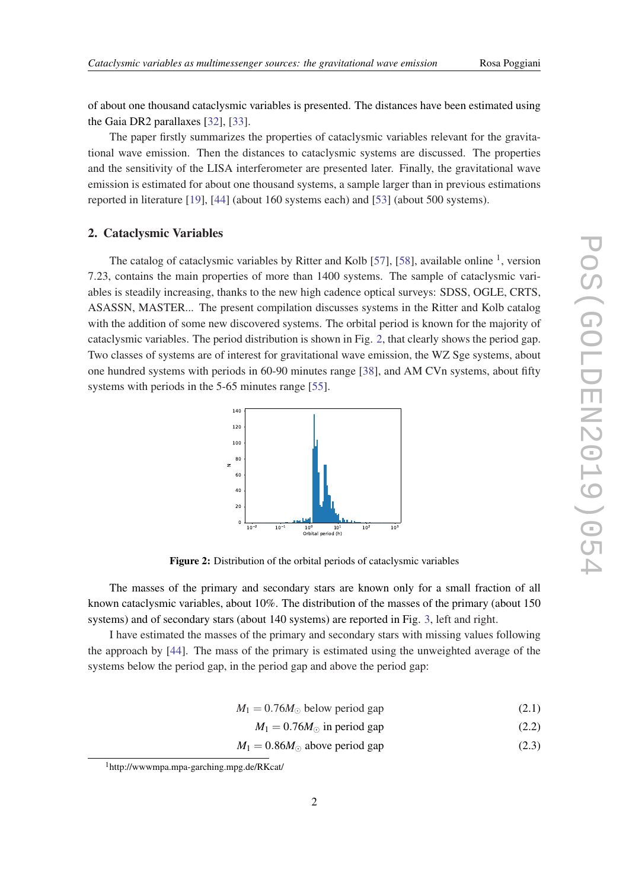of about one thousand cataclysmic variables is presented. The distances have been estimated using the Gaia DR2 parallaxes [\[32](#page-7-0)], [\[33](#page-7-0)].

The paper firstly summarizes the properties of cataclysmic variables relevant for the gravitational wave emission. Then the distances to cataclysmic systems are discussed. The properties and the sensitivity of the LISA interferometer are presented later. Finally, the gravitational wave emission is estimated for about one thousand systems, a sample larger than in previous estimations reported in literature [\[19](#page-6-0)], [[44\]](#page-7-0) (about 160 systems each) and [[53\]](#page-8-0) (about 500 systems).

#### 2. Cataclysmic Variables

The catalog of cataclysmic variables by Ritter and Kolb [\[57\]](#page-8-0), [[58\]](#page-8-0), available online  $<sup>1</sup>$ , version</sup> 7.23, contains the main properties of more than 1400 systems. The sample of cataclysmic variables is steadily increasing, thanks to the new high cadence optical surveys: SDSS, OGLE, CRTS, ASASSN, MASTER... The present compilation discusses systems in the Ritter and Kolb catalog with the addition of some new discovered systems. The orbital period is known for the majority of cataclysmic variables. The period distribution is shown in Fig. 2, that clearly shows the period gap. Two classes of systems are of interest for gravitational wave emission, the WZ Sge systems, about one hundred systems with periods in 60-90 minutes range [\[38](#page-7-0)], and AM CVn systems, about fifty systems with periods in the 5-65 minutes range [\[55](#page-8-0)].



Figure 2: Distribution of the orbital periods of cataclysmic variables

The masses of the primary and secondary stars are known only for a small fraction of all known cataclysmic variables, about 10%. The distribution of the masses of the primary (about 150 systems) and of secondary stars (about 140 systems) are reported in Fig. [3](#page-3-0), left and right.

I have estimated the masses of the primary and secondary stars with missing values following the approach by [\[44](#page-7-0)]. The mass of the primary is estimated using the unweighted average of the systems below the period gap, in the period gap and above the period gap:

$$
M_1 = 0.76M_{\odot} \text{ below period gap} \tag{2.1}
$$

$$
M_1 = 0.76M_{\odot} \text{ in period gap} \tag{2.2}
$$

 $M_1 = 0.86M_{\odot}$  above period gap (2.3)

<sup>1</sup>http://wwwmpa.mpa-garching.mpg.de/RKcat/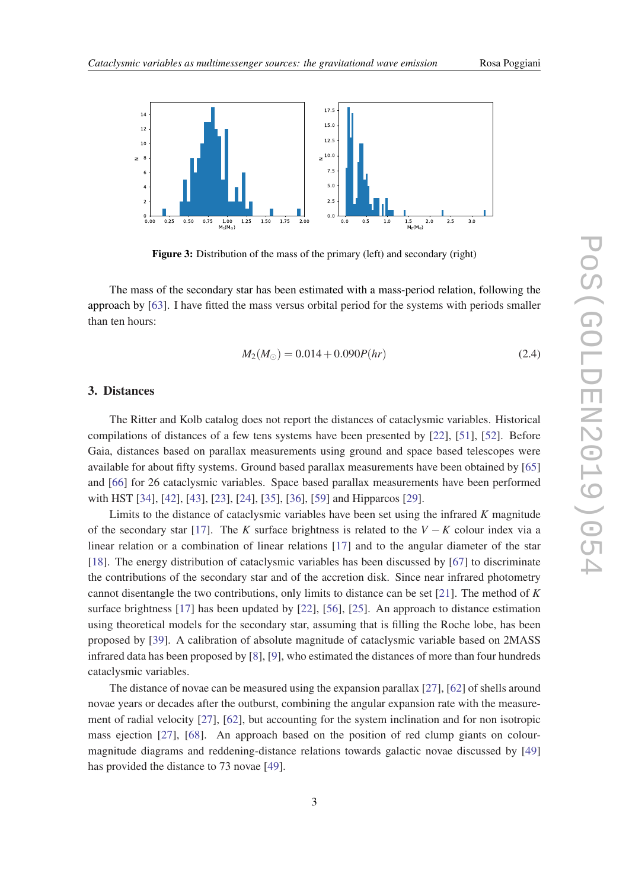<span id="page-3-0"></span>

Figure 3: Distribution of the mass of the primary (left) and secondary (right)

 $0.0$ 0 0-1.0

The mass of the secondary star has been estimated with a mass-period relation, following the approach by [[63\]](#page-8-0). I have fitted the mass versus orbital period for the systems with periods smaller than ten hours:

$$
M_2(M_\odot) = 0.014 + 0.090P(hr) \tag{2.4}
$$

0  $1.5$  2<br> $M_2(M_{\odot})$  $2.0$ 

5 3.0

#### 3. Distances

25 0.50 0.

75 1.00 1.<br>M<sub>1</sub>(M<sub>o</sub>)

The Ritter and Kolb catalog does not report the distances of cataclysmic variables. Historical compilations of distances of a few tens systems have been presented by [\[22\]](#page-7-0), [[51\]](#page-7-0), [\[52](#page-7-0)]. Before Gaia, distances based on parallax measurements using ground and space based telescopes were available for about fifty systems. Ground based parallax measurements have been obtained by [\[65](#page-8-0)] and [\[66](#page-8-0)] for 26 cataclysmic variables. Space based parallax measurements have been performed with HST [\[34](#page-7-0)], [\[42\]](#page-7-0), [[43\]](#page-7-0), [\[23](#page-7-0)], [[24\]](#page-7-0), [[35](#page-7-0)], [\[36](#page-7-0)], [[59\]](#page-8-0) and Hipparcos [[29\]](#page-7-0).

Limits to the distance of cataclysmic variables have been set using the infrared *K* magnitude of the secondary star [[17\]](#page-6-0). The *K* surface brightness is related to the *V* − *K* colour index via a linear relation or a combination of linear relations [[17\]](#page-6-0) and to the angular diameter of the star [[18\]](#page-6-0). The energy distribution of cataclysmic variables has been discussed by [[67\]](#page-8-0) to discriminate the contributions of the secondary star and of the accretion disk. Since near infrared photometry cannot disentangle the two contributions, only limits to distance can be set [[21\]](#page-7-0). The method of *K* surface brightness [[17\]](#page-6-0) has been updated by [[22\]](#page-7-0), [\[56](#page-8-0)], [[25](#page-7-0)]. An approach to distance estimation using theoretical models for the secondary star, assuming that is filling the Roche lobe, has been proposed by [\[39](#page-7-0)]. A calibration of absolute magnitude of cataclysmic variable based on 2MASS infrared data has been proposed by [\[8\]](#page-6-0), [\[9\]](#page-6-0), who estimated the distances of more than four hundreds cataclysmic variables.

The distance of novae can be measured using the expansion parallax [\[27](#page-7-0)], [\[62](#page-8-0)] of shells around novae years or decades after the outburst, combining the angular expansion rate with the measurement of radial velocity [[27](#page-7-0)], [[62\]](#page-8-0), but accounting for the system inclination and for non isotropic mass ejection [[27](#page-7-0)], [[68](#page-8-0)]. An approach based on the position of red clump giants on colourmagnitude diagrams and reddening-distance relations towards galactic novae discussed by [\[49](#page-7-0)] has provided the distance to 73 novae [\[49](#page-7-0)].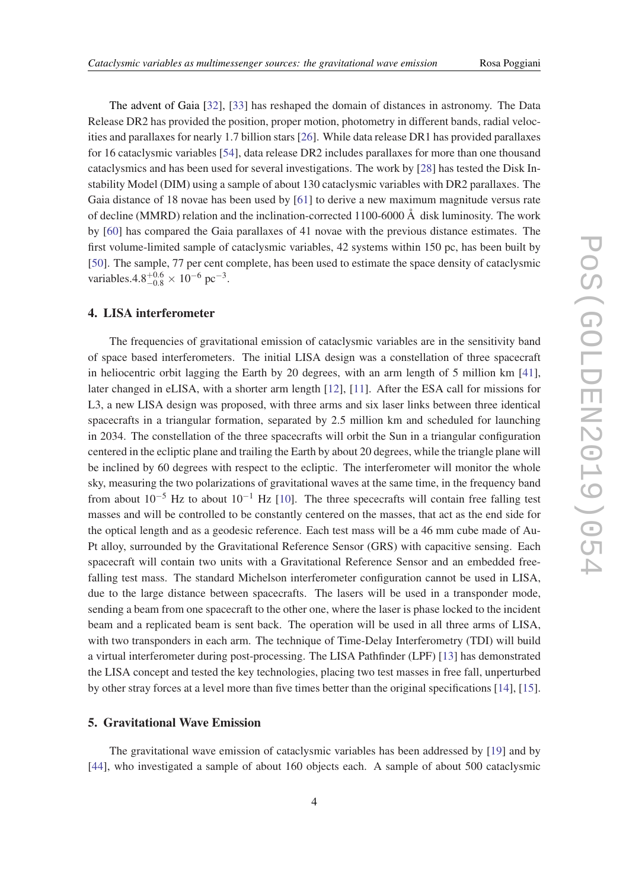The advent of Gaia [[32\]](#page-7-0), [\[33](#page-7-0)] has reshaped the domain of distances in astronomy. The Data Release DR2 has provided the position, proper motion, photometry in different bands, radial velocities and parallaxes for nearly 1.7 billion stars [\[26\]](#page-7-0). While data release DR1 has provided parallaxes for 16 cataclysmic variables [\[54](#page-8-0)], data release DR2 includes parallaxes for more than one thousand cataclysmics and has been used for several investigations. The work by [\[28](#page-7-0)] has tested the Disk Instability Model (DIM) using a sample of about 130 cataclysmic variables with DR2 parallaxes. The Gaia distance of 18 novae has been used by [\[61](#page-8-0)] to derive a new maximum magnitude versus rate of decline (MMRD) relation and the inclination-corrected 1100-6000 Å disk luminosity. The work by [\[60](#page-8-0)] has compared the Gaia parallaxes of 41 novae with the previous distance estimates. The first volume-limited sample of cataclysmic variables, 42 systems within 150 pc, has been built by [[50\]](#page-7-0). The sample, 77 per cent complete, has been used to estimate the space density of cataclysmic variables. $4.8^{+0.6}_{-0.8} \times 10^{-6}$  pc<sup>-3</sup>.

## 4. LISA interferometer

The frequencies of gravitational emission of cataclysmic variables are in the sensitivity band of space based interferometers. The initial LISA design was a constellation of three spacecraft in heliocentric orbit lagging the Earth by 20 degrees, with an arm length of 5 million km [[41\]](#page-7-0), later changed in eLISA, with a shorter arm length [\[12](#page-6-0)], [[11](#page-6-0)]. After the ESA call for missions for L3, a new LISA design was proposed, with three arms and six laser links between three identical spacecrafts in a triangular formation, separated by 2.5 million km and scheduled for launching in 2034. The constellation of the three spacecrafts will orbit the Sun in a triangular configuration centered in the ecliptic plane and trailing the Earth by about 20 degrees, while the triangle plane will be inclined by 60 degrees with respect to the ecliptic. The interferometer will monitor the whole sky, measuring the two polarizations of gravitational waves at the same time, in the frequency band from about  $10^{-5}$  Hz to about  $10^{-1}$  Hz [\[10](#page-6-0)]. The three spececrafts will contain free falling test masses and will be controlled to be constantly centered on the masses, that act as the end side for the optical length and as a geodesic reference. Each test mass will be a 46 mm cube made of Au-Pt alloy, surrounded by the Gravitational Reference Sensor (GRS) with capacitive sensing. Each spacecraft will contain two units with a Gravitational Reference Sensor and an embedded freefalling test mass. The standard Michelson interferometer configuration cannot be used in LISA, due to the large distance between spacecrafts. The lasers will be used in a transponder mode, sending a beam from one spacecraft to the other one, where the laser is phase locked to the incident beam and a replicated beam is sent back. The operation will be used in all three arms of LISA, with two transponders in each arm. The technique of Time-Delay Interferometry (TDI) will build a virtual interferometer during post-processing. The LISA Pathfinder (LPF) [[13\]](#page-6-0) has demonstrated the LISA concept and tested the key technologies, placing two test masses in free fall, unperturbed by other stray forces at a level more than five times better than the original specifications [\[14](#page-6-0)], [[15\]](#page-6-0).

## 5. Gravitational Wave Emission

The gravitational wave emission of cataclysmic variables has been addressed by [\[19](#page-6-0)] and by [[44\]](#page-7-0), who investigated a sample of about 160 objects each. A sample of about 500 cataclysmic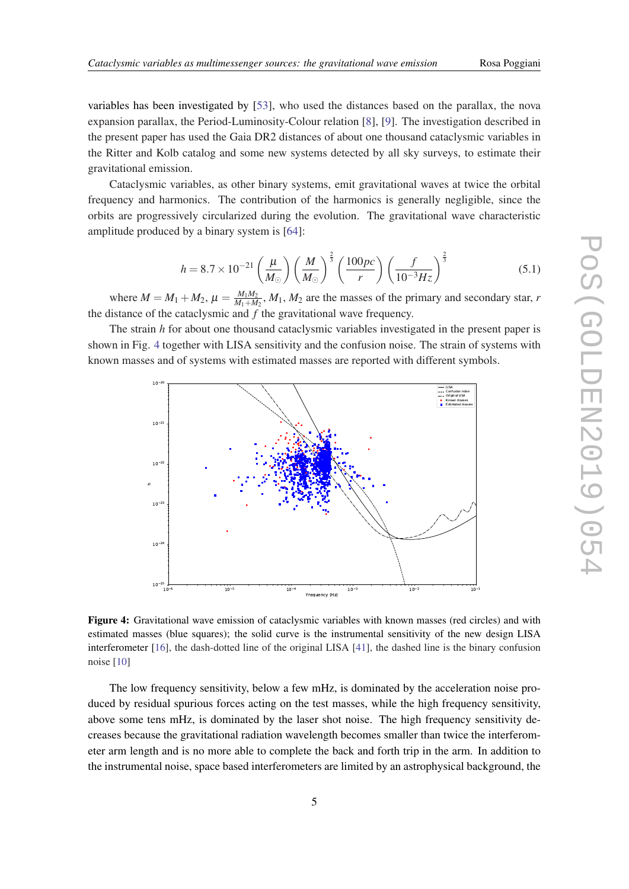<span id="page-5-0"></span>variables has been investigated by [\[53](#page-8-0)], who used the distances based on the parallax, the nova expansion parallax, the Period-Luminosity-Colour relation [\[8\]](#page-6-0), [[9](#page-6-0)]. The investigation described in the present paper has used the Gaia DR2 distances of about one thousand cataclysmic variables in the Ritter and Kolb catalog and some new systems detected by all sky surveys, to estimate their gravitational emission.

Cataclysmic variables, as other binary systems, emit gravitational waves at twice the orbital frequency and harmonics. The contribution of the harmonics is generally negligible, since the orbits are progressively circularized during the evolution. The gravitational wave characteristic amplitude produced by a binary system is [\[64](#page-8-0)]:

$$
h = 8.7 \times 10^{-21} \left(\frac{\mu}{M_{\odot}}\right) \left(\frac{M}{M_{\odot}}\right)^{\frac{2}{3}} \left(\frac{100pc}{r}\right) \left(\frac{f}{10^{-3} Hz}\right)^{\frac{2}{3}}
$$
(5.1)

where  $M = M_1 + M_2$ ,  $\mu = \frac{M_1 M_2}{M_1 + M_2}$  $\frac{M_1M_2}{M_1+M_2}$ ,  $M_1$ ,  $M_2$  are the masses of the primary and secondary star, *r* the distance of the cataclysmic and *f* the gravitational wave frequency.

The strain *h* for about one thousand cataclysmic variables investigated in the present paper is shown in Fig. 4 together with LISA sensitivity and the confusion noise. The strain of systems with known masses and of systems with estimated masses are reported with different symbols.



Figure 4: Gravitational wave emission of cataclysmic variables with known masses (red circles) and with estimated masses (blue squares); the solid curve is the instrumental sensitivity of the new design LISA interferometer [[16\]](#page-6-0), the dash-dotted line of the original LISA [[41\]](#page-7-0), the dashed line is the binary confusion noise [\[10](#page-6-0)]

The low frequency sensitivity, below a few mHz, is dominated by the acceleration noise produced by residual spurious forces acting on the test masses, while the high frequency sensitivity, above some tens mHz, is dominated by the laser shot noise. The high frequency sensitivity decreases because the gravitational radiation wavelength becomes smaller than twice the interferometer arm length and is no more able to complete the back and forth trip in the arm. In addition to the instrumental noise, space based interferometers are limited by an astrophysical background, the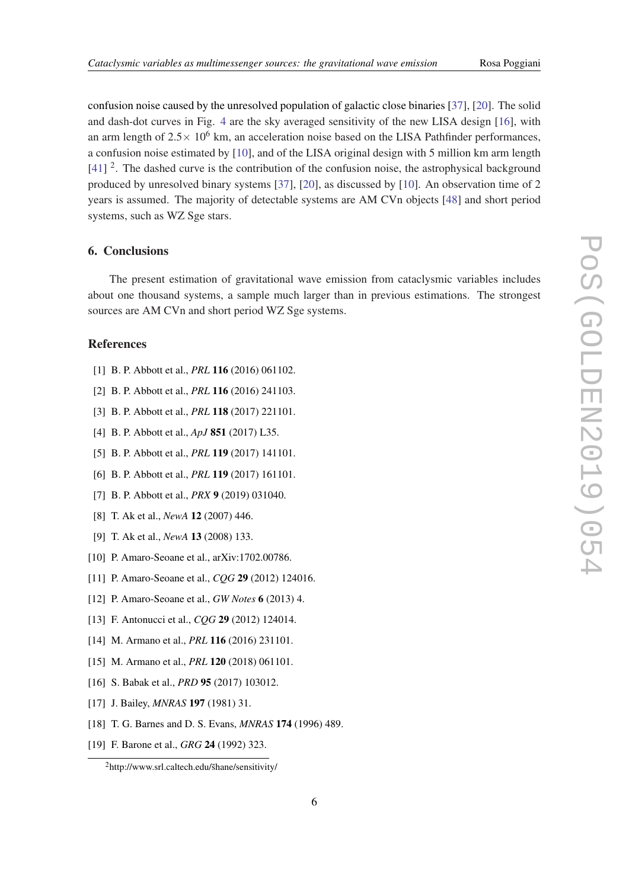<span id="page-6-0"></span>confusion noise caused by the unresolved population of galactic close binaries [\[37](#page-7-0)], [[20\]](#page-7-0). The solid and dash-dot curves in Fig. [4](#page-5-0) are the sky averaged sensitivity of the new LISA design [16], with an arm length of  $2.5 \times 10^6$  km, an acceleration noise based on the LISA Pathfinder performances, a confusion noise estimated by [10], and of the LISA original design with 5 million km arm length [[41\]](#page-7-0) <sup>2</sup>. The dashed curve is the contribution of the confusion noise, the astrophysical background produced by unresolved binary systems [\[37](#page-7-0)], [[20\]](#page-7-0), as discussed by [10]. An observation time of 2 years is assumed. The majority of detectable systems are AM CVn objects [\[48](#page-7-0)] and short period systems, such as WZ Sge stars.

## 6. Conclusions

The present estimation of gravitational wave emission from cataclysmic variables includes about one thousand systems, a sample much larger than in previous estimations. The strongest sources are AM CVn and short period WZ Sge systems.

## References

- [1] B. P. Abbott et al., *PRL* 116 (2016) 061102.
- [2] B. P. Abbott et al., *PRL* 116 (2016) 241103.
- [3] B. P. Abbott et al., *PRL* 118 (2017) 221101.
- [4] B. P. Abbott et al., *ApJ* 851 (2017) L35.
- [5] B. P. Abbott et al., *PRL* 119 (2017) 141101.
- [6] B. P. Abbott et al., *PRL* 119 (2017) 161101.
- [7] B. P. Abbott et al., *PRX* 9 (2019) 031040.
- [8] T. Ak et al., *NewA* 12 (2007) 446.
- [9] T. Ak et al., *NewA* 13 (2008) 133.
- [10] P. Amaro-Seoane et al., arXiv:1702.00786.
- [11] P. Amaro-Seoane et al., *CQG* 29 (2012) 124016.
- [12] P. Amaro-Seoane et al., *GW Notes* 6 (2013) 4.
- [13] F. Antonucci et al., *CQG* 29 (2012) 124014.
- [14] M. Armano et al., *PRL* **116** (2016) 231101.
- [15] M. Armano et al., *PRL* 120 (2018) 061101.
- [16] S. Babak et al., *PRD* 95 (2017) 103012.
- [17] J. Bailey, *MNRAS* 197 (1981) 31.
- [18] T. G. Barnes and D. S. Evans, *MNRAS* 174 (1996) 489.
- [19] F. Barone et al., *GRG* 24 (1992) 323.

 $<sup>2</sup>$ http://www.srl.caltech.edu/s̆hane/sensitivity/</sup>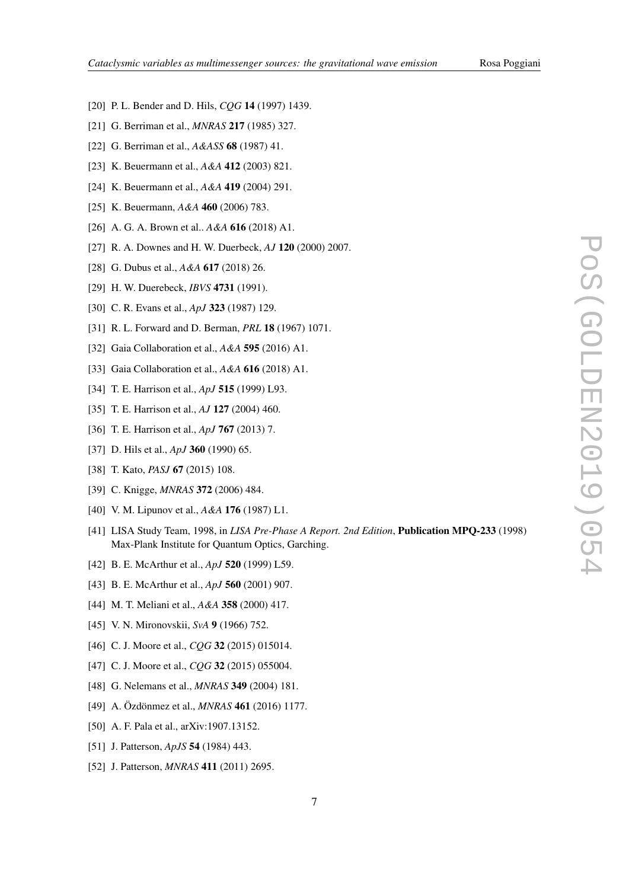- <span id="page-7-0"></span>[20] P. L. Bender and D. Hils, *CQG* **14** (1997) 1439.
- [21] G. Berriman et al., *MNRAS* 217 (1985) 327.
- [22] G. Berriman et al., *A&ASS* 68 (1987) 41.
- [23] K. Beuermann et al., *A&A* 412 (2003) 821.
- [24] K. Beuermann et al., *A&A* 419 (2004) 291.
- [25] K. Beuermann, *A&A* 460 (2006) 783.
- [26] A. G. A. Brown et al.. *A&A* 616 (2018) A1.
- [27] R. A. Downes and H. W. Duerbeck, *AJ* 120 (2000) 2007.
- [28] G. Dubus et al., *A&A* 617 (2018) 26.
- [29] H. W. Duerebeck, *IBVS* 4731 (1991).
- [30] C. R. Evans et al., *ApJ* 323 (1987) 129.
- [31] R. L. Forward and D. Berman, *PRL* 18 (1967) 1071.
- [32] Gaia Collaboration et al., *A&A* 595 (2016) A1.
- [33] Gaia Collaboration et al., *A&A* 616 (2018) A1.
- [34] T. E. Harrison et al., *ApJ* 515 (1999) L93.
- [35] T. E. Harrison et al., *AJ* 127 (2004) 460.
- [36] T. E. Harrison et al., *ApJ* 767 (2013) 7.
- [37] D. Hils et al., *ApJ* 360 (1990) 65.
- [38] T. Kato, *PASJ* 67 (2015) 108.
- [39] C. Knigge, *MNRAS* 372 (2006) 484.
- [40] V. M. Lipunov et al., *A&A* 176 (1987) L1.
- [41] LISA Study Team, 1998, in *LISA Pre-Phase A Report. 2nd Edition*, Publication MPQ-233 (1998) Max-Plank Institute for Quantum Optics, Garching.
- [42] B. E. McArthur et al., *ApJ* 520 (1999) L59.
- [43] B. E. McArthur et al., *ApJ* 560 (2001) 907.
- [44] M. T. Meliani et al., *A&A* 358 (2000) 417.
- [45] V. N. Mironovskii, *SvA* 9 (1966) 752.
- [46] C. J. Moore et al., *COG* **32** (2015) 015014.
- [47] C. J. Moore et al., *CQG* **32** (2015) 055004.
- [48] G. Nelemans et al., *MNRAS* 349 (2004) 181.
- [49] A. Özdönmez et al., *MNRAS* 461 (2016) 1177.
- [50] A. F. Pala et al., arXiv:1907.13152.
- [51] J. Patterson, *ApJS* 54 (1984) 443.
- [52] J. Patterson, *MNRAS* 411 (2011) 2695.